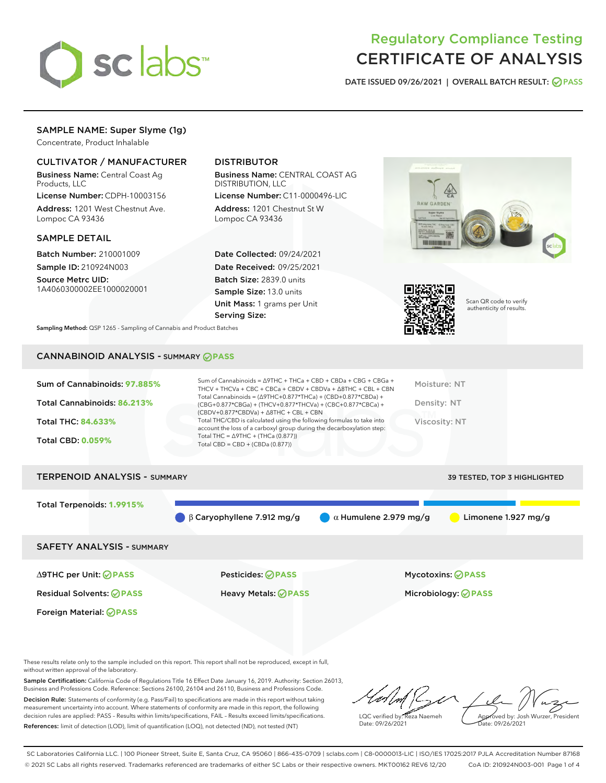

# Regulatory Compliance Testing CERTIFICATE OF ANALYSIS

DATE ISSUED 09/26/2021 | OVERALL BATCH RESULT: @ PASS

# SAMPLE NAME: Super Slyme (1g)

Concentrate, Product Inhalable

## CULTIVATOR / MANUFACTURER

Business Name: Central Coast Ag Products, LLC

License Number: CDPH-10003156 Address: 1201 West Chestnut Ave. Lompoc CA 93436

#### SAMPLE DETAIL

Batch Number: 210001009 Sample ID: 210924N003

Source Metrc UID: 1A4060300002EE1000020001

# DISTRIBUTOR

Business Name: CENTRAL COAST AG DISTRIBUTION, LLC

License Number: C11-0000496-LIC Address: 1201 Chestnut St W Lompoc CA 93436

Date Collected: 09/24/2021 Date Received: 09/25/2021 Batch Size: 2839.0 units Sample Size: 13.0 units Unit Mass: 1 grams per Unit Serving Size:





Scan QR code to verify authenticity of results.

Sampling Method: QSP 1265 - Sampling of Cannabis and Product Batches

# CANNABINOID ANALYSIS - SUMMARY **PASS**

| Sum of Cannabinoids: 97.885% | Sum of Cannabinoids = $\triangle$ 9THC + THCa + CBD + CBDa + CBG + CBGa +<br>THCV + THCVa + CBC + CBCa + CBDV + CBDVa + $\Delta$ 8THC + CBL + CBN                                    | Moisture: NT  |
|------------------------------|--------------------------------------------------------------------------------------------------------------------------------------------------------------------------------------|---------------|
| Total Cannabinoids: 86.213%  | Total Cannabinoids = $(\Delta$ 9THC+0.877*THCa) + (CBD+0.877*CBDa) +<br>(CBG+0.877*CBGa) + (THCV+0.877*THCVa) + (CBC+0.877*CBCa) +<br>$(CBDV+0.877*CBDVa) + \Delta 8THC + CBL + CBN$ | Density: NT   |
| <b>Total THC: 84.633%</b>    | Total THC/CBD is calculated using the following formulas to take into<br>account the loss of a carboxyl group during the decarboxylation step:                                       | Viscosity: NT |
| <b>Total CBD: 0.059%</b>     | Total THC = $\triangle$ 9THC + (THCa (0.877))<br>Total CBD = $CBD + (CBDa (0.877))$                                                                                                  |               |
|                              |                                                                                                                                                                                      |               |

| <b>TERPENOID ANALYSIS - SUMMARY</b> |                                             |                              | <b>39 TESTED, TOP 3 HIGHLIGHTED</b> |
|-------------------------------------|---------------------------------------------|------------------------------|-------------------------------------|
| Total Terpenoids: 1.9915%           |                                             |                              |                                     |
|                                     | $\bigcirc$ $\beta$ Caryophyllene 7.912 mg/g | $\alpha$ Humulene 2.979 mg/g | Limonene 1.927 mg/g                 |
| <b>SAFETY ANALYSIS - SUMMARY</b>    |                                             |                              |                                     |
|                                     |                                             |                              |                                     |

Foreign Material: **PASS**

∆9THC per Unit: **PASS** Pesticides: **PASS** Mycotoxins: **PASS**

Residual Solvents: **PASS** Heavy Metals: **PASS** Microbiology: **PASS**

These results relate only to the sample included on this report. This report shall not be reproduced, except in full, without written approval of the laboratory.

Sample Certification: California Code of Regulations Title 16 Effect Date January 16, 2019. Authority: Section 26013, Business and Professions Code. Reference: Sections 26100, 26104 and 26110, Business and Professions Code. Decision Rule: Statements of conformity (e.g. Pass/Fail) to specifications are made in this report without taking measurement uncertainty into account. Where statements of conformity are made in this report, the following decision rules are applied: PASS – Results within limits/specifications, FAIL – Results exceed limits/specifications.

References: limit of detection (LOD), limit of quantification (LOQ), not detected (ND), not tested (NT)

LQC verified by: Reza Naemeh Date: 09/26/2021 Approved by: Josh Wurzer, President Date: 09/26/2021

SC Laboratories California LLC. | 100 Pioneer Street, Suite E, Santa Cruz, CA 95060 | 866-435-0709 | sclabs.com | C8-0000013-LIC | ISO/IES 17025:2017 PJLA Accreditation Number 87168 © 2021 SC Labs all rights reserved. Trademarks referenced are trademarks of either SC Labs or their respective owners. MKT00162 REV6 12/20 CoA ID: 210924N003-001 Page 1 of 4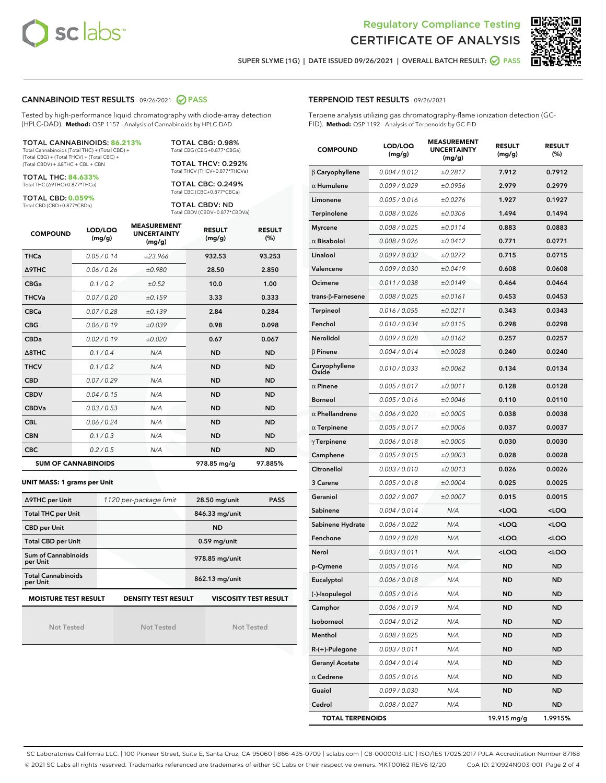



SUPER SLYME (1G) | DATE ISSUED 09/26/2021 | OVERALL BATCH RESULT: @ PASS

#### CANNABINOID TEST RESULTS - 09/26/2021 2 PASS

Tested by high-performance liquid chromatography with diode-array detection (HPLC-DAD). **Method:** QSP 1157 - Analysis of Cannabinoids by HPLC-DAD

#### TOTAL CANNABINOIDS: **86.213%**

Total Cannabinoids (Total THC) + (Total CBD) + (Total CBG) + (Total THCV) + (Total CBC) + (Total CBDV) + ∆8THC + CBL + CBN

TOTAL THC: **84.633%** Total THC (∆9THC+0.877\*THCa)

TOTAL CBD: **0.059%**

Total CBD (CBD+0.877\*CBDa)

TOTAL CBG: 0.98% Total CBG (CBG+0.877\*CBGa)

TOTAL THCV: 0.292% Total THCV (THCV+0.877\*THCVa)

TOTAL CBC: 0.249% Total CBC (CBC+0.877\*CBCa)

TOTAL CBDV: ND Total CBDV (CBDV+0.877\*CBDVa)

| <b>COMPOUND</b> | LOD/LOQ<br>(mg/g)          | <b>MEASUREMENT</b><br><b>UNCERTAINTY</b><br>(mg/g) | <b>RESULT</b><br>(mg/g) | <b>RESULT</b><br>(%) |
|-----------------|----------------------------|----------------------------------------------------|-------------------------|----------------------|
| <b>THCa</b>     | 0.05/0.14                  | ±23.966                                            | 932.53                  | 93.253               |
| <b>A9THC</b>    | 0.06 / 0.26                | ±0.980                                             | 28.50                   | 2.850                |
| <b>CBGa</b>     | 0.1 / 0.2                  | ±0.52                                              | 10.0                    | 1.00                 |
| <b>THCVa</b>    | 0.07 / 0.20                | ±0.159                                             | 3.33                    | 0.333                |
| <b>CBCa</b>     | 0.07/0.28                  | ±0.139                                             | 2.84                    | 0.284                |
| <b>CBG</b>      | 0.06/0.19                  | ±0.039                                             | 0.98                    | 0.098                |
| <b>CBDa</b>     | 0.02/0.19                  | ±0.020                                             | 0.67                    | 0.067                |
| A8THC           | 0.1/0.4                    | N/A                                                | <b>ND</b>               | <b>ND</b>            |
| <b>THCV</b>     | 0.1/0.2                    | N/A                                                | <b>ND</b>               | <b>ND</b>            |
| <b>CBD</b>      | 0.07/0.29                  | N/A                                                | <b>ND</b>               | <b>ND</b>            |
| <b>CBDV</b>     | 0.04 / 0.15                | N/A                                                | <b>ND</b>               | <b>ND</b>            |
| <b>CBDVa</b>    | 0.03/0.53                  | N/A                                                | <b>ND</b>               | <b>ND</b>            |
| <b>CBL</b>      | 0.06 / 0.24                | N/A                                                | <b>ND</b>               | <b>ND</b>            |
| <b>CBN</b>      | 0.1 / 0.3                  | N/A                                                | <b>ND</b>               | <b>ND</b>            |
| <b>CBC</b>      | 0.2 / 0.5                  | N/A                                                | <b>ND</b>               | <b>ND</b>            |
|                 | <b>SUM OF CANNABINOIDS</b> |                                                    | 978.85 mg/g             | 97.885%              |

#### **UNIT MASS: 1 grams per Unit**

| ∆9THC per Unit                                                                            | 1120 per-package limit | 28.50 mg/unit<br><b>PASS</b> |  |  |  |
|-------------------------------------------------------------------------------------------|------------------------|------------------------------|--|--|--|
| <b>Total THC per Unit</b>                                                                 |                        | 846.33 mg/unit               |  |  |  |
| <b>CBD per Unit</b>                                                                       |                        | <b>ND</b>                    |  |  |  |
| <b>Total CBD per Unit</b>                                                                 |                        | $0.59$ mg/unit               |  |  |  |
| Sum of Cannabinoids<br>per Unit                                                           |                        | 978.85 mg/unit               |  |  |  |
| <b>Total Cannabinoids</b><br>per Unit                                                     |                        | 862.13 mg/unit               |  |  |  |
| <b>MOISTURE TEST RESULT</b><br><b>DENSITY TEST RESULT</b><br><b>VISCOSITY TEST RESULT</b> |                        |                              |  |  |  |

Not Tested

Not Tested

Not Tested

#### TERPENOID TEST RESULTS - 09/26/2021

Terpene analysis utilizing gas chromatography-flame ionization detection (GC-FID). **Method:** QSP 1192 - Analysis of Terpenoids by GC-FID

| <b>COMPOUND</b>         | LOD/LOQ<br>(mg/g) | <b>MEASUREMENT</b><br><b>UNCERTAINTY</b><br>(mg/g) | <b>RESULT</b><br>(mg/g)                         | <b>RESULT</b><br>$(\%)$ |
|-------------------------|-------------------|----------------------------------------------------|-------------------------------------------------|-------------------------|
| $\beta$ Caryophyllene   | 0.004 / 0.012     | ±0.2817                                            | 7.912                                           | 0.7912                  |
| $\alpha$ Humulene       | 0.009/0.029       | ±0.0956                                            | 2.979                                           | 0.2979                  |
| Limonene                | 0.005 / 0.016     | ±0.0276                                            | 1.927                                           | 0.1927                  |
| <b>Terpinolene</b>      | 0.008 / 0.026     | ±0.0306                                            | 1.494                                           | 0.1494                  |
| <b>Myrcene</b>          | 0.008 / 0.025     | ±0.0114                                            | 0.883                                           | 0.0883                  |
| $\alpha$ Bisabolol      | 0.008 / 0.026     | ±0.0412                                            | 0.771                                           | 0.0771                  |
| Linalool                | 0.009 / 0.032     | ±0.0272                                            | 0.715                                           | 0.0715                  |
| Valencene               | 0.009 / 0.030     | ±0.0419                                            | 0.608                                           | 0.0608                  |
| Ocimene                 | 0.011 / 0.038     | ±0.0149                                            | 0.464                                           | 0.0464                  |
| trans-β-Farnesene       | 0.008 / 0.025     | ±0.0161                                            | 0.453                                           | 0.0453                  |
| Terpineol               | 0.016 / 0.055     | ±0.0211                                            | 0.343                                           | 0.0343                  |
| Fenchol                 | 0.010 / 0.034     | ±0.0115                                            | 0.298                                           | 0.0298                  |
| Nerolidol               | 0.009 / 0.028     | ±0.0162                                            | 0.257                                           | 0.0257                  |
| $\beta$ Pinene          | 0.004 / 0.014     | ±0.0028                                            | 0.240                                           | 0.0240                  |
| Caryophyllene<br>Oxide  | 0.010 / 0.033     | ±0.0062                                            | 0.134                                           | 0.0134                  |
| $\alpha$ Pinene         | 0.005 / 0.017     | ±0.0011                                            | 0.128                                           | 0.0128                  |
| <b>Borneol</b>          | 0.005 / 0.016     | ±0.0046                                            | 0.110                                           | 0.0110                  |
| $\alpha$ Phellandrene   | 0.006 / 0.020     | ±0.0005                                            | 0.038                                           | 0.0038                  |
| $\alpha$ Terpinene      | 0.005 / 0.017     | ±0.0006                                            | 0.037                                           | 0.0037                  |
| $\gamma$ Terpinene      | 0.006 / 0.018     | ±0.0005                                            | 0.030                                           | 0.0030                  |
| Camphene                | 0.005 / 0.015     | ±0.0003                                            | 0.028                                           | 0.0028                  |
| Citronellol             | 0.003 / 0.010     | ±0.0013                                            | 0.026                                           | 0.0026                  |
| 3 Carene                | 0.005 / 0.018     | ±0.0004                                            | 0.025                                           | 0.0025                  |
| Geraniol                | 0.002 / 0.007     | ±0.0007                                            | 0.015                                           | 0.0015                  |
| Sabinene                | 0.004 / 0.014     | N/A                                                | <loq< th=""><th><loq< th=""></loq<></th></loq<> | <loq< th=""></loq<>     |
| Sabinene Hydrate        | 0.006 / 0.022     | N/A                                                | <loq< th=""><th><loq< th=""></loq<></th></loq<> | <loq< th=""></loq<>     |
| Fenchone                | 0.009 / 0.028     | N/A                                                | <loq< th=""><th><loq< th=""></loq<></th></loq<> | <loq< th=""></loq<>     |
| Nerol                   | 0.003 / 0.011     | N/A                                                | <loq< th=""><th><loq< th=""></loq<></th></loq<> | <loq< th=""></loq<>     |
| p-Cymene                | 0.005 / 0.016     | N/A                                                | ND                                              | <b>ND</b>               |
| Eucalyptol              | 0.006 / 0.018     | N/A                                                | <b>ND</b>                                       | ND                      |
| (-)-Isopulegol          | 0.005 / 0.016     | N/A                                                | ND                                              | <b>ND</b>               |
| Camphor                 | 0.006 / 0.019     | N/A                                                | ND                                              | ND                      |
| Isoborneol              | 0.004 / 0.012     | N/A                                                | ND                                              | <b>ND</b>               |
| Menthol                 | 0.008 / 0.025     | N/A                                                | ND                                              | <b>ND</b>               |
| R-(+)-Pulegone          | 0.003 / 0.011     | N/A                                                | ND                                              | ND                      |
| <b>Geranyl Acetate</b>  | 0.004 / 0.014     | N/A                                                | ND                                              | ND                      |
| $\alpha$ Cedrene        | 0.005 / 0.016     | N/A                                                | ND                                              | <b>ND</b>               |
| Guaiol                  | 0.009 / 0.030     | N/A                                                | ND                                              | ND                      |
| Cedrol                  | 0.008 / 0.027     | N/A                                                | ND                                              | <b>ND</b>               |
| <b>TOTAL TERPENOIDS</b> |                   |                                                    | 19.915 mg/g                                     | 1.9915%                 |

SC Laboratories California LLC. | 100 Pioneer Street, Suite E, Santa Cruz, CA 95060 | 866-435-0709 | sclabs.com | C8-0000013-LIC | ISO/IES 17025:2017 PJLA Accreditation Number 87168 © 2021 SC Labs all rights reserved. Trademarks referenced are trademarks of either SC Labs or their respective owners. MKT00162 REV6 12/20 CoA ID: 210924N003-001 Page 2 of 4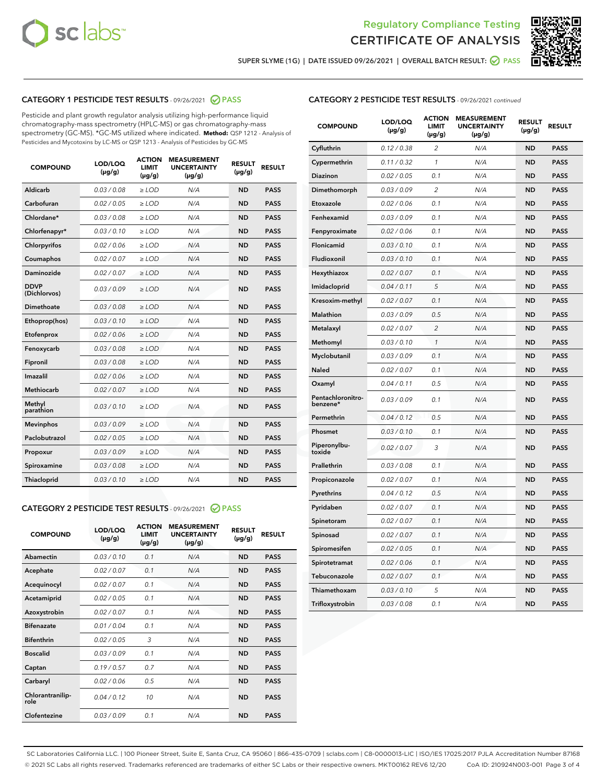



SUPER SLYME (1G) | DATE ISSUED 09/26/2021 | OVERALL BATCH RESULT:  $\bigcirc$  PASS

### CATEGORY 1 PESTICIDE TEST RESULTS - 09/26/2021 2 PASS

Pesticide and plant growth regulator analysis utilizing high-performance liquid chromatography-mass spectrometry (HPLC-MS) or gas chromatography-mass spectrometry (GC-MS). \*GC-MS utilized where indicated. **Method:** QSP 1212 - Analysis of Pesticides and Mycotoxins by LC-MS or QSP 1213 - Analysis of Pesticides by GC-MS

| 0.03 / 0.08<br>Aldicarb<br>$\ge$ LOD<br>N/A<br><b>ND</b><br><b>PASS</b><br>Carbofuran<br>0.02 / 0.05<br><b>ND</b><br><b>PASS</b><br>$\ge$ LOD<br>N/A<br>Chlordane*<br>0.03 / 0.08<br>$\ge$ LOD<br>N/A<br><b>ND</b><br><b>PASS</b><br>Chlorfenapyr*<br>0.03/0.10<br>$\ge$ LOD<br>N/A<br><b>ND</b><br><b>PASS</b><br>N/A<br>Chlorpyrifos<br>0.02 / 0.06<br>$\ge$ LOD<br><b>ND</b><br><b>PASS</b><br>0.02 / 0.07<br>N/A<br><b>ND</b><br><b>PASS</b><br>Coumaphos<br>$\ge$ LOD<br>Daminozide<br>0.02/0.07<br>$>$ LOD<br>N/A<br><b>ND</b><br><b>PASS</b><br><b>DDVP</b><br>0.03/0.09<br>$>$ LOD<br>N/A<br><b>ND</b><br><b>PASS</b><br>(Dichlorvos)<br>Dimethoate<br>0.03 / 0.08<br>$\ge$ LOD<br><b>ND</b><br><b>PASS</b><br>N/A<br>0.03/0.10<br>N/A<br><b>ND</b><br><b>PASS</b><br>Ethoprop(hos)<br>$>$ LOD<br>N/A<br><b>ND</b><br><b>PASS</b><br>Etofenprox<br>0.02 / 0.06<br>$\ge$ LOD<br>0.03 / 0.08<br>$\ge$ LOD<br><b>ND</b><br><b>PASS</b><br>Fenoxycarb<br>N/A<br>0.03/0.08<br>$>$ LOD<br>N/A<br><b>ND</b><br><b>PASS</b><br>Fipronil<br>Imazalil<br>0.02 / 0.06<br>N/A<br><b>ND</b><br><b>PASS</b><br>$\ge$ LOD<br>Methiocarb<br>0.02 / 0.07<br>$\ge$ LOD<br>N/A<br><b>ND</b><br><b>PASS</b><br>Methyl<br>0.03/0.10<br>N/A<br><b>ND</b><br>$\ge$ LOD<br><b>PASS</b><br>parathion<br>0.03/0.09<br>N/A<br><b>ND</b><br><b>Mevinphos</b><br>$\ge$ LOD<br><b>PASS</b><br>Paclobutrazol<br>0.02 / 0.05<br>$\ge$ LOD<br>N/A<br><b>ND</b><br><b>PASS</b><br>0.03 / 0.09<br>N/A<br><b>ND</b><br>$\ge$ LOD<br><b>PASS</b><br>Propoxur<br>0.03 / 0.08<br>N/A<br><b>ND</b><br><b>PASS</b><br>Spiroxamine<br>$\ge$ LOD | <b>COMPOUND</b> | LOD/LOQ<br>$(\mu g/g)$ | <b>ACTION</b><br><b>LIMIT</b><br>$(\mu g/g)$ | <b>MEASUREMENT</b><br><b>UNCERTAINTY</b><br>$(\mu g/g)$ | <b>RESULT</b><br>$(\mu g/g)$ | <b>RESULT</b> |
|---------------------------------------------------------------------------------------------------------------------------------------------------------------------------------------------------------------------------------------------------------------------------------------------------------------------------------------------------------------------------------------------------------------------------------------------------------------------------------------------------------------------------------------------------------------------------------------------------------------------------------------------------------------------------------------------------------------------------------------------------------------------------------------------------------------------------------------------------------------------------------------------------------------------------------------------------------------------------------------------------------------------------------------------------------------------------------------------------------------------------------------------------------------------------------------------------------------------------------------------------------------------------------------------------------------------------------------------------------------------------------------------------------------------------------------------------------------------------------------------------------------------------------------------------------------------------------------------------------------|-----------------|------------------------|----------------------------------------------|---------------------------------------------------------|------------------------------|---------------|
|                                                                                                                                                                                                                                                                                                                                                                                                                                                                                                                                                                                                                                                                                                                                                                                                                                                                                                                                                                                                                                                                                                                                                                                                                                                                                                                                                                                                                                                                                                                                                                                                               |                 |                        |                                              |                                                         |                              |               |
|                                                                                                                                                                                                                                                                                                                                                                                                                                                                                                                                                                                                                                                                                                                                                                                                                                                                                                                                                                                                                                                                                                                                                                                                                                                                                                                                                                                                                                                                                                                                                                                                               |                 |                        |                                              |                                                         |                              |               |
|                                                                                                                                                                                                                                                                                                                                                                                                                                                                                                                                                                                                                                                                                                                                                                                                                                                                                                                                                                                                                                                                                                                                                                                                                                                                                                                                                                                                                                                                                                                                                                                                               |                 |                        |                                              |                                                         |                              |               |
|                                                                                                                                                                                                                                                                                                                                                                                                                                                                                                                                                                                                                                                                                                                                                                                                                                                                                                                                                                                                                                                                                                                                                                                                                                                                                                                                                                                                                                                                                                                                                                                                               |                 |                        |                                              |                                                         |                              |               |
|                                                                                                                                                                                                                                                                                                                                                                                                                                                                                                                                                                                                                                                                                                                                                                                                                                                                                                                                                                                                                                                                                                                                                                                                                                                                                                                                                                                                                                                                                                                                                                                                               |                 |                        |                                              |                                                         |                              |               |
|                                                                                                                                                                                                                                                                                                                                                                                                                                                                                                                                                                                                                                                                                                                                                                                                                                                                                                                                                                                                                                                                                                                                                                                                                                                                                                                                                                                                                                                                                                                                                                                                               |                 |                        |                                              |                                                         |                              |               |
|                                                                                                                                                                                                                                                                                                                                                                                                                                                                                                                                                                                                                                                                                                                                                                                                                                                                                                                                                                                                                                                                                                                                                                                                                                                                                                                                                                                                                                                                                                                                                                                                               |                 |                        |                                              |                                                         |                              |               |
|                                                                                                                                                                                                                                                                                                                                                                                                                                                                                                                                                                                                                                                                                                                                                                                                                                                                                                                                                                                                                                                                                                                                                                                                                                                                                                                                                                                                                                                                                                                                                                                                               |                 |                        |                                              |                                                         |                              |               |
|                                                                                                                                                                                                                                                                                                                                                                                                                                                                                                                                                                                                                                                                                                                                                                                                                                                                                                                                                                                                                                                                                                                                                                                                                                                                                                                                                                                                                                                                                                                                                                                                               |                 |                        |                                              |                                                         |                              |               |
|                                                                                                                                                                                                                                                                                                                                                                                                                                                                                                                                                                                                                                                                                                                                                                                                                                                                                                                                                                                                                                                                                                                                                                                                                                                                                                                                                                                                                                                                                                                                                                                                               |                 |                        |                                              |                                                         |                              |               |
|                                                                                                                                                                                                                                                                                                                                                                                                                                                                                                                                                                                                                                                                                                                                                                                                                                                                                                                                                                                                                                                                                                                                                                                                                                                                                                                                                                                                                                                                                                                                                                                                               |                 |                        |                                              |                                                         |                              |               |
|                                                                                                                                                                                                                                                                                                                                                                                                                                                                                                                                                                                                                                                                                                                                                                                                                                                                                                                                                                                                                                                                                                                                                                                                                                                                                                                                                                                                                                                                                                                                                                                                               |                 |                        |                                              |                                                         |                              |               |
|                                                                                                                                                                                                                                                                                                                                                                                                                                                                                                                                                                                                                                                                                                                                                                                                                                                                                                                                                                                                                                                                                                                                                                                                                                                                                                                                                                                                                                                                                                                                                                                                               |                 |                        |                                              |                                                         |                              |               |
|                                                                                                                                                                                                                                                                                                                                                                                                                                                                                                                                                                                                                                                                                                                                                                                                                                                                                                                                                                                                                                                                                                                                                                                                                                                                                                                                                                                                                                                                                                                                                                                                               |                 |                        |                                              |                                                         |                              |               |
|                                                                                                                                                                                                                                                                                                                                                                                                                                                                                                                                                                                                                                                                                                                                                                                                                                                                                                                                                                                                                                                                                                                                                                                                                                                                                                                                                                                                                                                                                                                                                                                                               |                 |                        |                                              |                                                         |                              |               |
|                                                                                                                                                                                                                                                                                                                                                                                                                                                                                                                                                                                                                                                                                                                                                                                                                                                                                                                                                                                                                                                                                                                                                                                                                                                                                                                                                                                                                                                                                                                                                                                                               |                 |                        |                                              |                                                         |                              |               |
|                                                                                                                                                                                                                                                                                                                                                                                                                                                                                                                                                                                                                                                                                                                                                                                                                                                                                                                                                                                                                                                                                                                                                                                                                                                                                                                                                                                                                                                                                                                                                                                                               |                 |                        |                                              |                                                         |                              |               |
|                                                                                                                                                                                                                                                                                                                                                                                                                                                                                                                                                                                                                                                                                                                                                                                                                                                                                                                                                                                                                                                                                                                                                                                                                                                                                                                                                                                                                                                                                                                                                                                                               |                 |                        |                                              |                                                         |                              |               |
|                                                                                                                                                                                                                                                                                                                                                                                                                                                                                                                                                                                                                                                                                                                                                                                                                                                                                                                                                                                                                                                                                                                                                                                                                                                                                                                                                                                                                                                                                                                                                                                                               |                 |                        |                                              |                                                         |                              |               |
|                                                                                                                                                                                                                                                                                                                                                                                                                                                                                                                                                                                                                                                                                                                                                                                                                                                                                                                                                                                                                                                                                                                                                                                                                                                                                                                                                                                                                                                                                                                                                                                                               |                 |                        |                                              |                                                         |                              |               |
| 0.03/0.10<br>N/A<br><b>ND</b><br><b>PASS</b><br><b>Thiacloprid</b><br>$\ge$ LOD                                                                                                                                                                                                                                                                                                                                                                                                                                                                                                                                                                                                                                                                                                                                                                                                                                                                                                                                                                                                                                                                                                                                                                                                                                                                                                                                                                                                                                                                                                                               |                 |                        |                                              |                                                         |                              |               |

#### CATEGORY 2 PESTICIDE TEST RESULTS - 09/26/2021 @ PASS

| <b>COMPOUND</b>          | LOD/LOO<br>$(\mu g/g)$ | <b>ACTION</b><br>LIMIT<br>$(\mu g/g)$ | <b>MEASUREMENT</b><br><b>UNCERTAINTY</b><br>$(\mu g/g)$ | <b>RESULT</b><br>$(\mu g/g)$ | <b>RESULT</b> |  |
|--------------------------|------------------------|---------------------------------------|---------------------------------------------------------|------------------------------|---------------|--|
| Abamectin                | 0.03/0.10              | 0.1                                   | N/A                                                     | <b>ND</b>                    | <b>PASS</b>   |  |
| Acephate                 | 0.02/0.07              | 0.1                                   | N/A                                                     | <b>ND</b>                    | <b>PASS</b>   |  |
| Acequinocyl              | 0.02/0.07              | 0.1                                   | N/A                                                     | <b>ND</b>                    | <b>PASS</b>   |  |
| Acetamiprid              | 0.02 / 0.05            | 0.1                                   | N/A                                                     | <b>ND</b>                    | <b>PASS</b>   |  |
| Azoxystrobin             | 0.02/0.07              | 0.1                                   | N/A                                                     | <b>ND</b>                    | <b>PASS</b>   |  |
| <b>Bifenazate</b>        | 0.01 / 0.04            | 0.1                                   | N/A                                                     | <b>ND</b>                    | <b>PASS</b>   |  |
| <b>Bifenthrin</b>        | 0.02/0.05              | 3                                     | N/A                                                     | <b>ND</b>                    | <b>PASS</b>   |  |
| <b>Boscalid</b>          | 0.03/0.09              | 0.1                                   | N/A                                                     | <b>ND</b>                    | <b>PASS</b>   |  |
| Captan                   | 0.19/0.57              | 0.7                                   | N/A                                                     | <b>ND</b>                    | <b>PASS</b>   |  |
| Carbaryl                 | 0.02/0.06              | 0.5                                   | N/A                                                     | <b>ND</b>                    | <b>PASS</b>   |  |
| Chlorantranilip-<br>role | 0.04/0.12              | 10                                    | N/A                                                     | <b>ND</b>                    | <b>PASS</b>   |  |
| Clofentezine             | 0.03/0.09              | 0.1                                   | N/A                                                     | <b>ND</b>                    | <b>PASS</b>   |  |

|  | <b>CATEGORY 2 PESTICIDE TEST RESULTS</b> - 09/26/2021 continued |  |  |  |
|--|-----------------------------------------------------------------|--|--|--|
|--|-----------------------------------------------------------------|--|--|--|

| <b>COMPOUND</b>               | LOD/LOQ<br>(µg/g) | <b>ACTION</b><br>LIMIT<br>(µg/g) | <b>MEASUREMENT</b><br><b>UNCERTAINTY</b><br>$(\mu g/g)$ | <b>RESULT</b><br>(µg/g) | <b>RESULT</b> |
|-------------------------------|-------------------|----------------------------------|---------------------------------------------------------|-------------------------|---------------|
| Cyfluthrin                    | 0.12 / 0.38       | 2                                | N/A                                                     | <b>ND</b>               | <b>PASS</b>   |
| Cypermethrin                  | 0.11/0.32         | 1                                | N/A                                                     | <b>ND</b>               | <b>PASS</b>   |
| Diazinon                      | 0.02 / 0.05       | 0.1                              | N/A                                                     | <b>ND</b>               | <b>PASS</b>   |
| Dimethomorph                  | 0.03 / 0.09       | 2                                | N/A                                                     | <b>ND</b>               | <b>PASS</b>   |
| Etoxazole                     | 0.02 / 0.06       | 0.1                              | N/A                                                     | ND                      | <b>PASS</b>   |
| Fenhexamid                    | 0.03 / 0.09       | 0.1                              | N/A                                                     | <b>ND</b>               | <b>PASS</b>   |
| Fenpyroximate                 | 0.02 / 0.06       | 0.1                              | N/A                                                     | <b>ND</b>               | <b>PASS</b>   |
| Flonicamid                    | 0.03 / 0.10       | 0.1                              | N/A                                                     | <b>ND</b>               | <b>PASS</b>   |
| Fludioxonil                   | 0.03 / 0.10       | 0.1                              | N/A                                                     | ND                      | <b>PASS</b>   |
| Hexythiazox                   | 0.02 / 0.07       | 0.1                              | N/A                                                     | <b>ND</b>               | <b>PASS</b>   |
| Imidacloprid                  | 0.04 / 0.11       | 5                                | N/A                                                     | <b>ND</b>               | <b>PASS</b>   |
| Kresoxim-methyl               | 0.02 / 0.07       | 0.1                              | N/A                                                     | ND                      | <b>PASS</b>   |
| <b>Malathion</b>              | 0.03 / 0.09       | 0.5                              | N/A                                                     | <b>ND</b>               | <b>PASS</b>   |
| Metalaxyl                     | 0.02 / 0.07       | 2                                | N/A                                                     | <b>ND</b>               | <b>PASS</b>   |
| Methomyl                      | 0.03 / 0.10       | $\mathcal{I}$                    | N/A                                                     | ND                      | <b>PASS</b>   |
| Myclobutanil                  | 0.03 / 0.09       | 0.1                              | N/A                                                     | <b>ND</b>               | <b>PASS</b>   |
| Naled                         | 0.02 / 0.07       | 0.1                              | N/A                                                     | <b>ND</b>               | <b>PASS</b>   |
| Oxamyl                        | 0.04 / 0.11       | 0.5                              | N/A                                                     | <b>ND</b>               | <b>PASS</b>   |
| Pentachloronitro-<br>benzene* | 0.03 / 0.09       | 0.1                              | N/A                                                     | <b>ND</b>               | <b>PASS</b>   |
| Permethrin                    | 0.04/0.12         | 0.5                              | N/A                                                     | <b>ND</b>               | <b>PASS</b>   |
| Phosmet                       | 0.03 / 0.10       | 0.1                              | N/A                                                     | <b>ND</b>               | <b>PASS</b>   |
| Piperonylbu-<br>toxide        | 0.02 / 0.07       | 3                                | N/A                                                     | <b>ND</b>               | <b>PASS</b>   |
| Prallethrin                   | 0.03 / 0.08       | 0.1                              | N/A                                                     | <b>ND</b>               | <b>PASS</b>   |
| Propiconazole                 | 0.02 / 0.07       | 0.1                              | N/A                                                     | <b>ND</b>               | <b>PASS</b>   |
| Pyrethrins                    | 0.04 / 0.12       | 0.5                              | N/A                                                     | <b>ND</b>               | <b>PASS</b>   |
| Pyridaben                     | 0.02 / 0.07       | 0.1                              | N/A                                                     | <b>ND</b>               | PASS          |
| Spinetoram                    | 0.02 / 0.07       | 0.1                              | N/A                                                     | ND                      | <b>PASS</b>   |
| Spinosad                      | 0.02 / 0.07       | 0.1                              | N/A                                                     | ND                      | <b>PASS</b>   |
| Spiromesifen                  | 0.02 / 0.05       | 0.1                              | N/A                                                     | <b>ND</b>               | <b>PASS</b>   |
| Spirotetramat                 | 0.02 / 0.06       | 0.1                              | N/A                                                     | ND                      | PASS          |
| Tebuconazole                  | 0.02 / 0.07       | 0.1                              | N/A                                                     | <b>ND</b>               | <b>PASS</b>   |
| Thiamethoxam                  | 0.03 / 0.10       | 5                                | N/A                                                     | <b>ND</b>               | <b>PASS</b>   |
| Trifloxystrobin               | 0.03 / 0.08       | 0.1                              | N/A                                                     | <b>ND</b>               | <b>PASS</b>   |

SC Laboratories California LLC. | 100 Pioneer Street, Suite E, Santa Cruz, CA 95060 | 866-435-0709 | sclabs.com | C8-0000013-LIC | ISO/IES 17025:2017 PJLA Accreditation Number 87168 © 2021 SC Labs all rights reserved. Trademarks referenced are trademarks of either SC Labs or their respective owners. MKT00162 REV6 12/20 CoA ID: 210924N003-001 Page 3 of 4